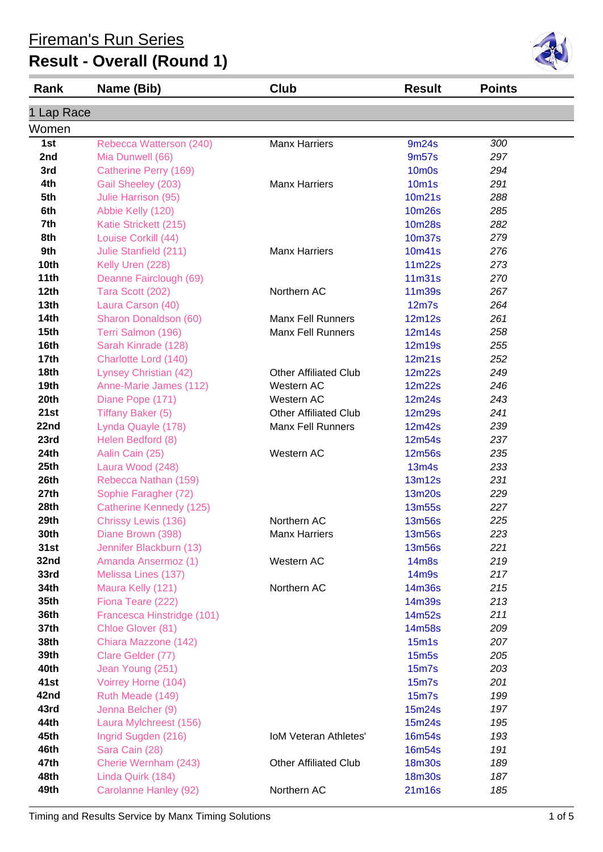| Rank             | Name (Bib)                                | Club                         | <b>Result</b>                            | <b>Points</b> |  |
|------------------|-------------------------------------------|------------------------------|------------------------------------------|---------------|--|
|                  |                                           |                              |                                          |               |  |
| 1 Lap Race       |                                           |                              |                                          |               |  |
| Women            |                                           |                              |                                          |               |  |
| 1st              | Rebecca Watterson (240)                   | <b>Manx Harriers</b>         | 9m24s                                    | 300           |  |
| 2nd              | Mia Dunwell (66)                          |                              | 9m57s                                    | 297           |  |
| 3rd              | Catherine Perry (169)                     | <b>Manx Harriers</b>         | 10 <sub>m</sub> 0s                       | 294           |  |
| 4th<br>5th       | Gail Sheeley (203)<br>Julie Harrison (95) |                              | 10 <sub>m</sub> 1 <sub>s</sub><br>10m21s | 291           |  |
| 6th              | Abbie Kelly (120)                         |                              | <b>10m26s</b>                            | 288<br>285    |  |
| 7th              | Katie Strickett (215)                     |                              | <b>10m28s</b>                            | 282           |  |
| 8th              | Louise Corkill (44)                       |                              | 10m37s                                   | 279           |  |
| 9th              | Julie Stanfield (211)                     | <b>Manx Harriers</b>         | 10m41s                                   | 276           |  |
| 10th             | Kelly Uren (228)                          |                              | 11m22s                                   | 273           |  |
| 11th             | Deanne Fairclough (69)                    |                              | 11 <sub>m31s</sub>                       | 270           |  |
| 12 <sub>th</sub> | Tara Scott (202)                          | Northern AC                  | 11m39s                                   | 267           |  |
| 13 <sub>th</sub> | Laura Carson (40)                         |                              | 12m7s                                    | 264           |  |
| 14th             | Sharon Donaldson (60)                     | <b>Manx Fell Runners</b>     | 12m12s                                   | 261           |  |
| 15 <sub>th</sub> | Terri Salmon (196)                        | <b>Manx Fell Runners</b>     | 12m14s                                   | 258           |  |
| 16th             | Sarah Kinrade (128)                       |                              | 12m19s                                   | 255           |  |
| 17 <sub>th</sub> | Charlotte Lord (140)                      |                              | 12m21s                                   | 252           |  |
| 18th             | Lynsey Christian (42)                     | <b>Other Affiliated Club</b> | 12m22s                                   | 249           |  |
| 19th             | Anne-Marie James (112)                    | Western AC                   | 12m22s                                   | 246           |  |
| 20th             | Diane Pope (171)                          | Western AC                   | 12m24s                                   | 243           |  |
| 21st             | <b>Tiffany Baker (5)</b>                  | <b>Other Affiliated Club</b> | 12m29s                                   | 241           |  |
| 22nd             | Lynda Quayle (178)                        | <b>Manx Fell Runners</b>     | 12m42s                                   | 239           |  |
| 23rd             | Helen Bedford (8)                         |                              | 12m54s                                   | 237           |  |
| 24th             | Aalin Cain (25)                           | Western AC                   | <b>12m56s</b>                            | 235           |  |
| 25th             | Laura Wood (248)                          |                              | 13m4s                                    | 233           |  |
| 26th             | Rebecca Nathan (159)                      |                              | 13m12s                                   | 231           |  |
| 27th             | Sophie Faragher (72)                      |                              | 13m20s                                   | 229           |  |
| 28th             | Catherine Kennedy (125)                   |                              | <b>13m55s</b>                            | 227           |  |
| 29th             | Chrissy Lewis (136)                       | Northern AC                  | 13m56s                                   | 225           |  |
| 30th             | Diane Brown (398)                         | <b>Manx Harriers</b>         | 13m56s                                   | 223           |  |
| 31st             | Jennifer Blackburn (13)                   |                              | 13m56s                                   | 221           |  |
| 32nd             | Amanda Ansermoz (1)                       | Western AC                   | <b>14m8s</b>                             | 219           |  |
| 33rd             | Melissa Lines (137)                       |                              | 14m9s                                    | 217           |  |
| 34th             | Maura Kelly (121)                         | Northern AC                  | 14m36s                                   | 215           |  |
| 35th             | Fiona Teare (222)                         |                              | 14m39s                                   | 213           |  |
| 36th             | Francesca Hinstridge (101)                |                              | 14m52s                                   | 211           |  |
| 37th             | Chloe Glover (81)                         |                              | 14m58s                                   | 209           |  |
| 38th             | Chiara Mazzone (142)                      |                              | 15m1s                                    | 207           |  |
| 39th             | Clare Gelder (77)                         |                              | <b>15m5s</b>                             | 205           |  |
| 40th             | Jean Young (251)                          |                              | <b>15m7s</b>                             | 203           |  |
| 41st             | Voirrey Horne (104)                       |                              | <b>15m7s</b>                             | 201           |  |
| 42nd             | Ruth Meade (149)                          |                              | 15 <sub>m</sub>                          | 199           |  |
| 43rd             | Jenna Belcher (9)                         |                              | 15m24s                                   | 197           |  |
| 44th             | Laura Mylchreest (156)                    |                              | 15m24s                                   | 195           |  |
| 45th             | Ingrid Sugden (216)                       | <b>IoM Veteran Athletes'</b> | 16m54s                                   | 193           |  |
| 46th             | Sara Cain (28)                            |                              | 16m54s                                   | 191           |  |
| 47th             | Cherie Wernham (243)                      | <b>Other Affiliated Club</b> | 18m30s                                   | 189           |  |
| 48th             | Linda Quirk (184)                         |                              | <b>18m30s</b>                            | 187           |  |
| 49th             | Carolanne Hanley (92)                     | Northern AC                  | 21m16s                                   | 185           |  |

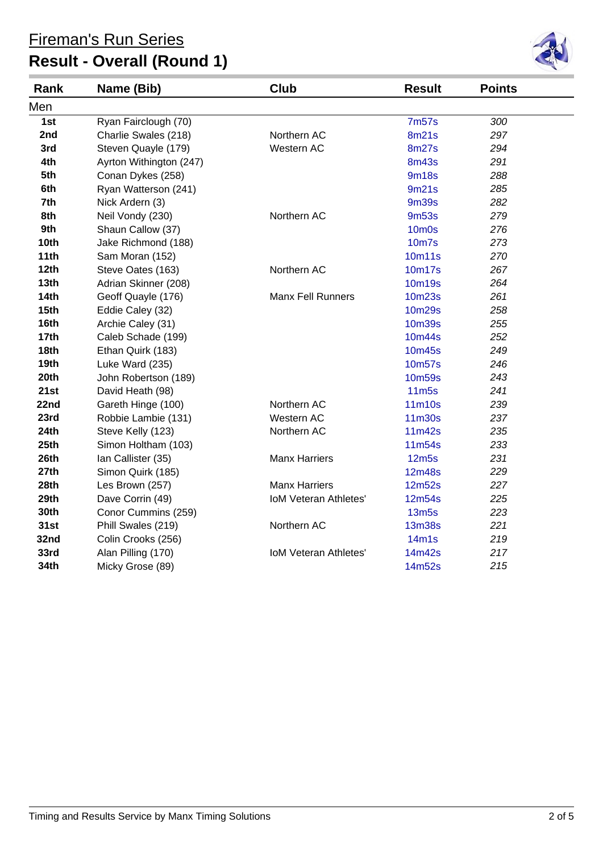

| Rank             | Name (Bib)              | Club                         | <b>Result</b>     | <b>Points</b> |  |
|------------------|-------------------------|------------------------------|-------------------|---------------|--|
| Men              |                         |                              |                   |               |  |
| 1st              | Ryan Fairclough (70)    |                              | <b>7m57s</b>      | 300           |  |
| 2nd              | Charlie Swales (218)    | Northern AC                  | 8m21s             | 297           |  |
| 3rd              | Steven Quayle (179)     | Western AC                   | <b>8m27s</b>      | 294           |  |
| 4th              | Ayrton Withington (247) |                              | <b>8m43s</b>      | 291           |  |
| 5th              | Conan Dykes (258)       |                              | <b>9m18s</b>      | 288           |  |
| 6th              | Ryan Watterson (241)    |                              | 9m21s             | 285           |  |
| 7th              | Nick Ardern (3)         |                              | <b>9m39s</b>      | 282           |  |
| 8th              | Neil Vondy (230)        | Northern AC                  | 9m <sub>53s</sub> | 279           |  |
| 9th              | Shaun Callow (37)       |                              | <b>10m0s</b>      | 276           |  |
| 10th             | Jake Richmond (188)     |                              | <b>10m7s</b>      | 273           |  |
| 11th             | Sam Moran (152)         |                              | 10m11s            | 270           |  |
| 12th             | Steve Oates (163)       | Northern AC                  | 10m17s            | 267           |  |
| 13 <sub>th</sub> | Adrian Skinner (208)    |                              | 10m19s            | 264           |  |
| 14th             | Geoff Quayle (176)      | <b>Manx Fell Runners</b>     | 10m23s            | 261           |  |
| 15 <sub>th</sub> | Eddie Caley (32)        |                              | 10m29s            | 258           |  |
| 16th             | Archie Caley (31)       |                              | <b>10m39s</b>     | 255           |  |
| 17th             | Caleb Schade (199)      |                              | 10m44s            | 252           |  |
| <b>18th</b>      | Ethan Quirk (183)       |                              | 10m45s            | 249           |  |
| 19th             | Luke Ward (235)         |                              | 10m57s            | 246           |  |
| 20th             | John Robertson (189)    |                              | 10m59s            | 243           |  |
| 21st             | David Heath (98)        |                              | <b>11m5s</b>      | 241           |  |
| 22nd             | Gareth Hinge (100)      | Northern AC                  | 11m10s            | 239           |  |
| 23rd             | Robbie Lambie (131)     | Western AC                   | 11m30s            | 237           |  |
| 24th             | Steve Kelly (123)       | Northern AC                  | 11m42s            | 235           |  |
| 25th             | Simon Holtham (103)     |                              | 11m54s            | 233           |  |
| 26th             | Ian Callister (35)      | <b>Manx Harriers</b>         | 12m5s             | 231           |  |
| 27th             | Simon Quirk (185)       |                              | 12m48s            | 229           |  |
| 28th             | Les Brown (257)         | <b>Manx Harriers</b>         | 12m52s            | 227           |  |
| 29th             | Dave Corrin (49)        | <b>IoM Veteran Athletes'</b> | 12m54s            | 225           |  |
| 30th             | Conor Cummins (259)     |                              | <b>13m5s</b>      | 223           |  |
| 31st             | Phill Swales (219)      | Northern AC                  | <b>13m38s</b>     | 221           |  |
| 32nd             | Colin Crooks (256)      |                              | 14m1s             | 219           |  |
| 33rd             | Alan Pilling (170)      | <b>IoM Veteran Athletes'</b> | 14m42s            | 217           |  |
| 34th             | Micky Grose (89)        |                              | 14m52s            | 215           |  |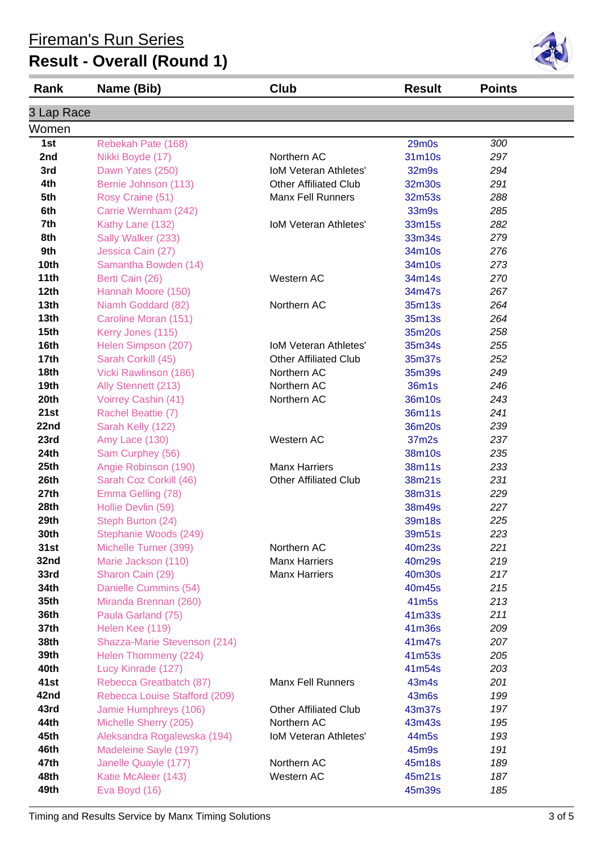| <b>Rank</b>      | Name (Bib)                    | Club                         | <b>Result</b>     | <b>Points</b> |
|------------------|-------------------------------|------------------------------|-------------------|---------------|
| 3 Lap Race       |                               |                              |                   |               |
| Women            |                               |                              |                   |               |
| 1st              | Rebekah Pate (168)            |                              | <b>29m0s</b>      | 300           |
| 2nd              | Nikki Boyde (17)              | Northern AC                  | 31m10s            | 297           |
| 3rd              | Dawn Yates (250)              | <b>IoM Veteran Athletes'</b> | 32m9s             | 294           |
| 4th              | Bernie Johnson (113)          | <b>Other Affiliated Club</b> | 32m30s            | 291           |
| 5th              | Rosy Craine (51)              | <b>Manx Fell Runners</b>     | 32m53s            | 288           |
| 6th              | Carrie Wernham (242)          |                              | 33m9s             | 285           |
| 7th              | Kathy Lane (132)              | <b>IoM Veteran Athletes'</b> | 33m15s            | 282           |
| 8th              | Sally Walker (233)            |                              | 33m34s            | 279           |
| 9th              | Jessica Cain (27)             |                              | 34m10s            | 276           |
| 10th             | Samantha Bowden (14)          |                              | 34m10s            | 273           |
| 11th             | Berti Cain (26)               | Western AC                   | 34m14s            | 270           |
| 12th             | Hannah Moore (150)            |                              | 34m47s            | 267           |
| 13 <sub>th</sub> | Niamh Goddard (82)            | Northern AC                  | 35m13s            | 264           |
| 13 <sub>th</sub> | Caroline Moran (151)          |                              | 35m13s            | 264           |
| 15th             | Kerry Jones (115)             |                              | 35m20s            | 258           |
| 16th             | Helen Simpson (207)           | <b>IoM Veteran Athletes'</b> | 35m34s            | 255           |
| 17 <sub>th</sub> | Sarah Corkill (45)            | <b>Other Affiliated Club</b> | 35m37s            | 252           |
| 18th             | Vicki Rawlinson (186)         | Northern AC                  | 35m39s            | 249           |
| 19th             | Ally Stennett (213)           | Northern AC                  | 36m1s             | 246           |
| 20th             | Voirrey Cashin (41)           | Northern AC                  | 36m10s            | 243           |
| 21st             | Rachel Beattie (7)            |                              | 36m11s            | 241           |
| 22nd             | Sarah Kelly (122)             |                              | 36m20s            | 239           |
| 23rd             | Amy Lace (130)                | Western AC                   | 37m2s             | 237           |
| 24th             | Sam Curphey (56)              |                              | 38m10s            | 235           |
| 25th             | Angie Robinson (190)          | <b>Manx Harriers</b>         | 38m11s            | 233           |
| 26th             | Sarah Coz Corkill (46)        | <b>Other Affiliated Club</b> | 38m21s            | 231           |
| 27th             | Emma Gelling (78)             |                              | 38m31s            | 229           |
| 28th             | Hollie Devlin (59)            |                              | 38m49s            | 227           |
| 29th             | Steph Burton (24)             |                              | 39m18s            | 225           |
| 30th             | Stephanie Woods (249)         |                              | 39m51s            | 223           |
| 31st             | Michelle Turner (399)         | Northern AC                  | 40m23s            | 221           |
| 32nd             | Marie Jackson (110)           | <b>Manx Harriers</b>         | 40m29s            | 219           |
| 33rd             | Sharon Cain (29)              | <b>Manx Harriers</b>         | 40m30s            | 217           |
| 34th             | Danielle Cummins (54)         |                              | 40m45s            | 215           |
| 35th             | Miranda Brennan (260)         |                              | 41 <sub>m5s</sub> | 213           |
| 36th             | Paula Garland (75)            |                              | 41m33s            | 211           |
| 37th             | Helen Kee (119)               |                              | 41m36s            | 209           |
| 38th             | Shazza-Marie Stevenson (214)  |                              | 41m47s            | 207           |
| 39th             | Helen Thommeny (224)          |                              | 41m53s            | 205           |
| 40th             | Lucy Kinrade (127)            |                              | 41m54s            | 203           |
| 41st             | Rebecca Greatbatch (87)       | <b>Manx Fell Runners</b>     | 43m4s             | 201           |
| 42nd             | Rebecca Louise Stafford (209) |                              | 43m6s             | 199           |
| 43rd             | Jamie Humphreys (106)         | <b>Other Affiliated Club</b> | 43m37s            | 197           |
| 44th             | Michelle Sherry (205)         | Northern AC                  | 43m43s            | 195           |
| 45th             | Aleksandra Rogalewska (194)   | IoM Veteran Athletes'        | 44m5s             | 193           |
| 46th             | Madeleine Sayle (197)         |                              | 45m9s             | 191           |
| 47th             | Janelle Quayle (177)          | Northern AC                  | 45m18s            | 189           |
| 48th             | Katie McAleer (143)           | Western AC                   | 45m21s            | 187           |
| 49th             | Eva Boyd (16)                 |                              | 45m39s            | 185           |

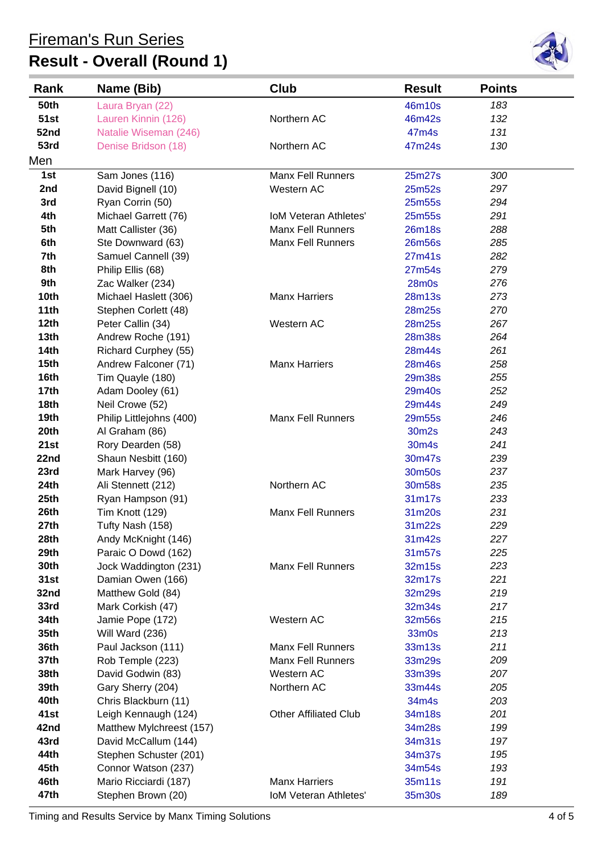# **Result - Overall (Round 1)**



| Rank             | Name (Bib)                              | Club                         | <b>Result</b>    | <b>Points</b> |  |
|------------------|-----------------------------------------|------------------------------|------------------|---------------|--|
| 50th             | Laura Bryan (22)                        |                              | 46m10s           | 183           |  |
| <b>51st</b>      | Lauren Kinnin (126)                     | Northern AC                  | 46m42s           | 132           |  |
| 52nd             | Natalie Wiseman (246)                   |                              | 47m4s            | 131           |  |
| 53rd             | Denise Bridson (18)                     | Northern AC                  | 47m24s           | 130           |  |
| Men              |                                         |                              |                  |               |  |
| 1st              | Sam Jones (116)                         | <b>Manx Fell Runners</b>     | 25m27s           | 300           |  |
| 2nd              | David Bignell (10)                      | Western AC                   | 25m52s           | 297           |  |
| 3rd              | Ryan Corrin (50)                        |                              | 25m55s           | 294           |  |
| 4th              | Michael Garrett (76)                    | <b>IoM Veteran Athletes'</b> | 25m55s           | 291           |  |
| 5th              | Matt Callister (36)                     | <b>Manx Fell Runners</b>     | 26m18s           | 288           |  |
| 6th              | Ste Downward (63)                       | <b>Manx Fell Runners</b>     | 26m56s           | 285           |  |
| 7th              | Samuel Cannell (39)                     |                              | 27m41s           | 282           |  |
| 8th              | Philip Ellis (68)                       |                              | 27m54s           | 279           |  |
| 9th              | Zac Walker (234)                        |                              | $28m$ 0s         | 276           |  |
| 10 <sub>th</sub> | Michael Haslett (306)                   | <b>Manx Harriers</b>         | 28m13s           | 273           |  |
| 11th             | Stephen Corlett (48)                    |                              | 28m25s           | 270           |  |
| 12 <sub>th</sub> | Peter Callin (34)                       | Western AC                   | 28m25s           | 267           |  |
| 13 <sub>th</sub> | Andrew Roche (191)                      |                              | <b>28m38s</b>    | 264           |  |
| 14th             | Richard Curphey (55)                    |                              | 28m44s           | 261           |  |
| 15 <sub>th</sub> | Andrew Falconer (71)                    | <b>Manx Harriers</b>         | 28m46s           | 258           |  |
| 16th             | Tim Quayle (180)                        |                              | 29m38s           | 255           |  |
| 17 <sub>th</sub> | Adam Dooley (61)                        |                              | 29m40s           | 252           |  |
| 18th             | Neil Crowe (52)                         |                              | 29m44s           | 249           |  |
| 19 <sub>th</sub> | Philip Littlejohns (400)                | <b>Manx Fell Runners</b>     | 29m55s           | 246           |  |
| 20th             | Al Graham (86)                          |                              | 30m2s            | 243           |  |
| 21st             | Rory Dearden (58)                       |                              | 30m4s            | 241           |  |
| 22nd<br>23rd     | Shaun Nesbitt (160)                     |                              | 30m47s           | 239           |  |
| 24th             | Mark Harvey (96)                        | Northern AC                  | 30m50s<br>30m58s | 237           |  |
| 25th             | Ali Stennett (212)<br>Ryan Hampson (91) |                              | 31m17s           | 235<br>233    |  |
| 26th             | Tim Knott (129)                         | <b>Manx Fell Runners</b>     | 31m20s           | 231           |  |
| 27th             | Tufty Nash (158)                        |                              | 31m22s           | 229           |  |
| 28th             | Andy McKnight (146)                     |                              | 31m42s           | 227           |  |
| 29th             | Paraic O Dowd (162)                     |                              | 31m57s           | 225           |  |
| 30th             | Jock Waddington (231)                   | <b>Manx Fell Runners</b>     | 32m15s           | 223           |  |
| 31st             | Damian Owen (166)                       |                              | 32m17s           | 221           |  |
| 32nd             | Matthew Gold (84)                       |                              | 32m29s           | 219           |  |
| 33rd             | Mark Corkish (47)                       |                              | 32m34s           | 217           |  |
| 34th             | Jamie Pope (172)                        | Western AC                   | 32m56s           | 215           |  |
| 35th             | Will Ward (236)                         |                              | 33m0s            | 213           |  |
| 36th             | Paul Jackson (111)                      | <b>Manx Fell Runners</b>     | 33m13s           | 211           |  |
| 37th             | Rob Temple (223)                        | <b>Manx Fell Runners</b>     | 33m29s           | 209           |  |
| 38th             | David Godwin (83)                       | Western AC                   | 33m39s           | 207           |  |
| 39th             | Gary Sherry (204)                       | Northern AC                  | 33m44s           | 205           |  |
| 40th             | Chris Blackburn (11)                    |                              | 34m4s            | 203           |  |
| 41st             | Leigh Kennaugh (124)                    | <b>Other Affiliated Club</b> | 34m18s           | 201           |  |
| 42nd             | Matthew Mylchreest (157)                |                              | 34m28s           | 199           |  |
| 43rd             | David McCallum (144)                    |                              | 34m31s           | 197           |  |
| 44th             | Stephen Schuster (201)                  |                              | 34m37s           | 195           |  |
| 45th             | Connor Watson (237)                     |                              | 34m54s           | 193           |  |
| 46th             | Mario Ricciardi (187)                   | <b>Manx Harriers</b>         | 35m11s           | 191           |  |
| 47th             | Stephen Brown (20)                      | <b>IoM Veteran Athletes'</b> | 35m30s           | 189           |  |

Timing and Results Service by Manx Timing Solutions 4 of 5